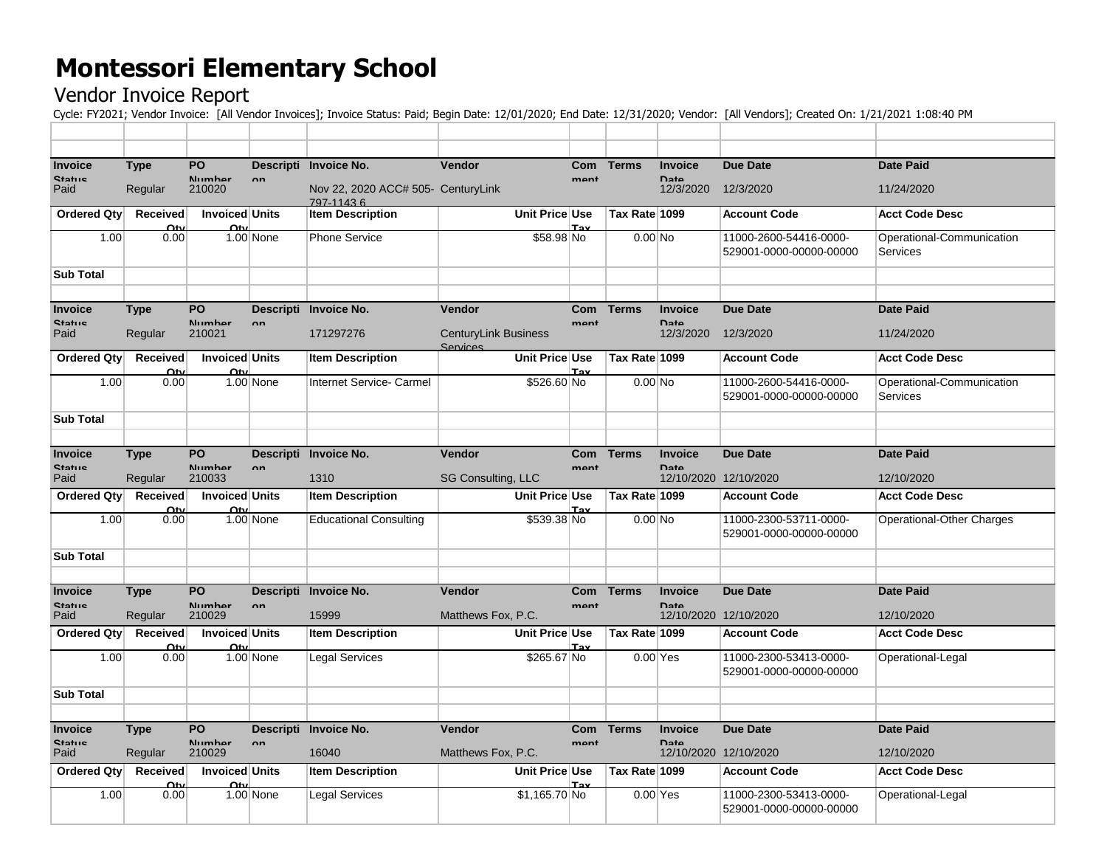## **Montessori Elementary School**

## Vendor Invoice Report

Cycle: FY2021; Vendor Invoice: [All Vendor Invoices]; Invoice Status: Paid; Begin Date: 12/01/2020; End Date: 12/31/2020; Vendor: [All Vendors]; Created On: 1/21/2021 1:08:40 PM

| <b>Invoice</b>   | <b>Type</b>                | <b>PO</b>             |              | Descripti Invoice No.                           | Vendor                      | <b>Com</b> | <b>Terms</b>  | <b>Invoice</b> | <b>Due Date</b>         | <b>Date Paid</b>          |
|------------------|----------------------------|-----------------------|--------------|-------------------------------------------------|-----------------------------|------------|---------------|----------------|-------------------------|---------------------------|
| <b>Statue</b>    |                            | Numhar                | nn           |                                                 |                             | mont       |               | Data           |                         |                           |
| Paid             | Regular                    | 210020                |              | Nov 22, 2020 ACC# 505- CenturyLink<br>797-11436 |                             |            |               | 12/3/2020      | 12/3/2020               | 11/24/2020                |
| Ordered Qty      | Received                   | <b>Invoiced Units</b> |              | <b>Item Description</b>                         | Unit Price Use              |            | Tax Rate 1099 |                | <b>Account Code</b>     | <b>Acct Code Desc</b>     |
|                  | $\Omega_{\rm{tu}}$         | Ω'n                   |              |                                                 |                             | т.,        |               |                |                         |                           |
| 1.00             | 0.00                       |                       | $1.00$ None  | <b>Phone Service</b>                            | \$58.98 No                  |            | $0.00$ No     |                | 11000-2600-54416-0000-  | Operational-Communication |
|                  |                            |                       |              |                                                 |                             |            |               |                | 529001-0000-00000-00000 | <b>Services</b>           |
| <b>Sub Total</b> |                            |                       |              |                                                 |                             |            |               |                |                         |                           |
|                  |                            |                       |              |                                                 |                             |            |               |                |                         |                           |
| <b>Invoice</b>   | <b>Type</b>                | <b>PO</b>             |              | Descripti Invoice No.                           | <b>Vendor</b>               | <b>Com</b> | <b>Terms</b>  | <b>Invoice</b> | Due Date                | <b>Date Paid</b>          |
| <b>Statue</b>    |                            | Numhar                | nn.          |                                                 |                             | mant       |               | Date           |                         |                           |
| Paid             | Regular                    | 210021                |              | 171297276                                       | <b>CenturyLink Business</b> |            |               | 12/3/2020      | 12/3/2020               | 11/24/2020                |
| Ordered Qty      | Received                   | <b>Invoiced Units</b> |              | <b>Item Description</b>                         | Services<br>Unit Price Use  |            | Tax Rate 1099 |                | <b>Account Code</b>     | <b>Acct Code Desc</b>     |
|                  | $\Omega$ ty                | Oty                   |              |                                                 |                             | Tov        |               |                |                         |                           |
| 1.00             | 0.00                       |                       | $1.00$ None  | <b>Internet Service- Carmel</b>                 | \$526.60 No                 |            | $0.00$ No     |                | 11000-2600-54416-0000-  | Operational-Communication |
|                  |                            |                       |              |                                                 |                             |            |               |                | 529001-0000-00000-00000 | Services                  |
| <b>Sub Total</b> |                            |                       |              |                                                 |                             |            |               |                |                         |                           |
|                  |                            |                       |              |                                                 |                             |            |               |                |                         |                           |
| <b>Invoice</b>   | <b>Type</b>                | PO                    |              | Descripti Invoice No.                           | Vendor                      | <b>Com</b> | <b>Terms</b>  | <b>Invoice</b> | <b>Due Date</b>         | <b>Date Paid</b>          |
| Statue           |                            | Numhar                | nn           |                                                 |                             | mont       |               | Date           |                         |                           |
| Paid             | Regular                    | 210033                |              | 1310                                            | <b>SG Consulting, LLC</b>   |            |               |                | 12/10/2020 12/10/2020   | 12/10/2020                |
|                  |                            |                       |              |                                                 |                             |            |               |                |                         |                           |
| Ordered Qty      | <b>Received</b>            | <b>Invoiced Units</b> |              | <b>Item Description</b>                         | Unit Price Use              |            | Tax Rate 1099 |                | <b>Account Code</b>     | <b>Acct Code Desc</b>     |
|                  | Ωtu                        | n+                    |              |                                                 |                             | Tax        |               |                |                         |                           |
| 1.00             | 0.00                       |                       | $1.00$ None  | <b>Educational Consulting</b>                   | \$539.38 No                 |            | $0.00$ No     |                | 11000-2300-53711-0000-  | Operational-Other Charges |
|                  |                            |                       |              |                                                 |                             |            |               |                | 529001-0000-00000-00000 |                           |
| <b>Sub Total</b> |                            |                       |              |                                                 |                             |            |               |                |                         |                           |
|                  |                            |                       |              |                                                 |                             |            |               |                |                         |                           |
| <b>Invoice</b>   |                            | <b>PO</b>             |              |                                                 | Vendor                      | <b>Com</b> | <b>Terms</b>  | Invoice        | Due Date                | <b>Date Paid</b>          |
| <b>Statue</b>    | <b>Type</b>                | Numhar                | $\mathbf{a}$ | Descripti Invoice No.                           |                             | mont       |               | Date           |                         |                           |
| Paid             | Regular                    | 210029                |              | 15999                                           | Matthews Fox, P.C.          |            |               |                | 12/10/2020 12/10/2020   | 12/10/2020                |
| Ordered Qty      | Received                   | <b>Invoiced Units</b> |              | <b>Item Description</b>                         | Unit Price Use              |            | Tax Rate 1099 |                | <b>Account Code</b>     | <b>Acct Code Desc</b>     |
|                  | $\Omega$ ty                | Ωtν                   |              |                                                 |                             | Tay        |               |                |                         |                           |
| 1.00             | 0.00                       |                       | $1.00$ None  | <b>Legal Services</b>                           | \$265.67 No                 |            |               | $0.00$ Yes     | 11000-2300-53413-0000-  | Operational-Legal         |
|                  |                            |                       |              |                                                 |                             |            |               |                | 529001-0000-00000-00000 |                           |
| <b>Sub Total</b> |                            |                       |              |                                                 |                             |            |               |                |                         |                           |
|                  |                            |                       |              |                                                 |                             |            |               |                |                         |                           |
| Invoice          | <b>Type</b>                | PO                    |              | Descripti Invoice No.                           | Vendor                      | Com        | <b>Terms</b>  | <b>Invoice</b> | Due Date                | <b>Date Paid</b>          |
| <b>Statue</b>    |                            | Numhar                | nn           |                                                 |                             | mont       |               | <b>Data</b>    |                         |                           |
| Paid             | Regular                    | 210029                |              | 16040                                           | Matthews Fox, P.C.          |            |               |                | 12/10/2020 12/10/2020   | 12/10/2020                |
| Ordered Qty      | <b>Received</b>            | <b>Invoiced Units</b> |              | <b>Item Description</b>                         | Unit Price Use              |            | Tax Rate 1099 |                | <b>Account Code</b>     | <b>Acct Code Desc</b>     |
| 1.00             | $\Omega_{\rm{tu}}$<br>0.00 | Ω'n                   | 1.00 None    | <b>Legal Services</b>                           | \$1,165.70 No               | Tov        | $0.00$ Yes    |                | 11000-2300-53413-0000-  | Operational-Legal         |
|                  |                            |                       |              |                                                 |                             |            |               |                | 529001-0000-00000-00000 |                           |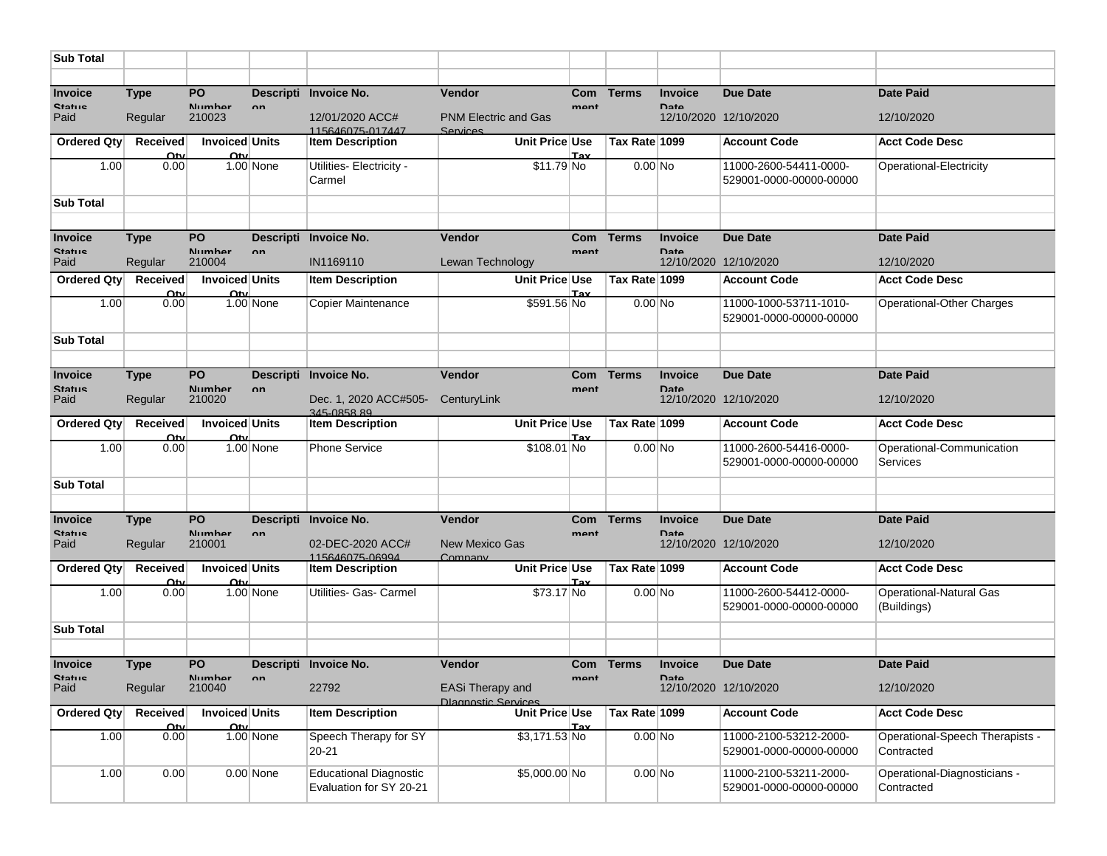| <b>Sub Total</b>         |                        |                                            |             |                                                          |                                                       |            |               |                               |                                                   |                                               |
|--------------------------|------------------------|--------------------------------------------|-------------|----------------------------------------------------------|-------------------------------------------------------|------------|---------------|-------------------------------|---------------------------------------------------|-----------------------------------------------|
|                          |                        |                                            |             |                                                          |                                                       |            |               |                               |                                                   |                                               |
| <b>Invoice</b>           | <b>Type</b>            | PO                                         |             | Descripti Invoice No.                                    | <b>Vendor</b>                                         | <b>Com</b> | <b>Terms</b>  | <b>Invoice</b>                | <b>Due Date</b>                                   | <b>Date Paid</b>                              |
| <b>Statue</b><br>Paid    | Regular                | <b>Numhar</b><br>210023                    | $n_{n}$     | 12/01/2020 ACC#<br>115646075-017447                      | <b>PNM Electric and Gas</b><br>Services               | mant       |               | <b>Data</b>                   | 12/10/2020 12/10/2020                             | 12/10/2020                                    |
| Ordered Qty              | Received<br>Ωtı        | <b>Invoiced Units</b><br>Ω'n               |             | <b>Item Description</b>                                  | Unit Price Use                                        | Точ        | Tax Rate 1099 |                               | <b>Account Code</b>                               | <b>Acct Code Desc</b>                         |
| 1.00                     | 0.00                   |                                            | 1.00 None   | Utilities- Electricity -<br>Carmel                       | $$11.79$ No                                           |            | $0.00$ No     |                               | 11000-2600-54411-0000-<br>529001-0000-00000-00000 | Operational-Electricity                       |
| <b>Sub Total</b>         |                        |                                            |             |                                                          |                                                       |            |               |                               |                                                   |                                               |
|                          |                        |                                            |             |                                                          |                                                       |            |               |                               |                                                   |                                               |
| Invoice                  | <b>Type</b>            | PO<br><b>Numbor</b>                        |             | Descripti Invoice No.                                    | Vendor                                                | Com        | <b>Terms</b>  | <b>Invoice</b>                | <b>Due Date</b>                                   | <b>Date Paid</b>                              |
| Statue<br>Paid           | Regular                | 210004                                     | $n_{n}$     | IN1169110                                                | Lewan Technology                                      | mant       |               | <b>Data</b>                   | 12/10/2020 12/10/2020                             | 12/10/2020                                    |
| Ordered Qty              | <b>Received</b><br>Ωtv | <b>Invoiced Units</b><br>$\Omega$ tv       |             | <b>Item Description</b>                                  | Unit Price Use                                        | Tav        | Tax Rate 1099 |                               | <b>Account Code</b>                               | <b>Acct Code Desc</b>                         |
| 1.00                     | 0.00                   |                                            | 1.00 None   | Copier Maintenance                                       | \$591.56 No                                           |            | $0.00$ No     |                               | 11000-1000-53711-1010-<br>529001-0000-00000-00000 | Operational-Other Charges                     |
| <b>Sub Total</b>         |                        |                                            |             |                                                          |                                                       |            |               |                               |                                                   |                                               |
|                          |                        |                                            |             |                                                          |                                                       |            |               |                               |                                                   |                                               |
| Invoice<br><b>Statue</b> | <b>Type</b>            | PO<br>Numhar                               |             | Descripti Invoice No.                                    | <b>Vendor</b>                                         | <b>Com</b> | <b>Terms</b>  | <b>Invoice</b><br><b>Data</b> | Due Date                                          | <b>Date Paid</b>                              |
| Paid                     | Regular                | 210020                                     | $n_{n}$     | Dec. 1, 2020 ACC#505-<br>345-085889                      | CenturyLink                                           | mant       |               |                               | 12/10/2020 12/10/2020                             | 12/10/2020                                    |
| Ordered Qty              | Received<br>Ωtι        | <b>Invoiced Units</b><br>$\Omega_{\rm th}$ |             | <b>Item Description</b>                                  | Unit Price Use                                        |            | Tax Rate 1099 |                               | <b>Account Code</b>                               | <b>Acct Code Desc</b>                         |
| 1.00                     | 0.00                   |                                            | $1.00$ None | <b>Phone Service</b>                                     | \$108.01 No                                           |            | $0.00$ No     |                               | 11000-2600-54416-0000-<br>529001-0000-00000-00000 | Operational-Communication<br>Services         |
| <b>Sub Total</b>         |                        |                                            |             |                                                          |                                                       |            |               |                               |                                                   |                                               |
|                          |                        |                                            |             |                                                          |                                                       |            |               |                               |                                                   |                                               |
| Invoice                  | <b>Type</b>            | PO                                         |             | Descripti Invoice No.                                    | <b>Vendor</b>                                         | Com        | <b>Terms</b>  | <b>Invoice</b>                | <b>Due Date</b>                                   | <b>Date Paid</b>                              |
| Statue<br>Paid           | Regular                | Numhar<br>210001                           | $n_{n}$     | 02-DEC-2020 ACC#<br>115646075-06994                      | <b>New Mexico Gas</b><br>Company                      | mant       |               | Date                          | 12/10/2020 12/10/2020                             | 12/10/2020                                    |
| Ordered Qty              | Received<br>Ωtv        | <b>Invoiced Units</b><br>Otv               |             | <b>Item Description</b>                                  | Unit Price Use                                        | Tax        | Tax Rate 1099 |                               | <b>Account Code</b>                               | <b>Acct Code Desc</b>                         |
| 1.00                     | 0.00                   |                                            | 1.00 None   | Utilities- Gas- Carmel                                   | \$73.17 No                                            |            | $0.00$ No     |                               | 11000-2600-54412-0000-<br>529001-0000-00000-00000 | Operational-Natural Gas<br>(Buildings)        |
| <b>Sub Total</b>         |                        |                                            |             |                                                          |                                                       |            |               |                               |                                                   |                                               |
|                          |                        |                                            |             |                                                          |                                                       |            |               |                               |                                                   |                                               |
| Invoice<br>Statue        | <b>Type</b>            | <b>PO</b><br>Numhar                        | nn.         | Descripti Invoice No.                                    | <b>Vendor</b>                                         | mant       | Com Terms     | <b>Invoice</b><br>Ateri       | <b>Due Date</b>                                   | <b>Date Paid</b>                              |
| Paid                     | Regular                | 210040                                     |             | 22792                                                    | <b>EASi Therapy and</b><br><b>Dlagnostic Services</b> |            |               |                               | 12/10/2020 12/10/2020                             | 12/10/2020                                    |
| Ordered Qty              | <b>Received</b><br>Ωtv | Invoiced Units<br>Ωtu                      |             | <b>Item Description</b>                                  | Unit Price Use                                        | Tax        | Tax Rate 1099 |                               | <b>Account Code</b>                               | Acct Code Desc                                |
| 1.00                     | 0.00                   |                                            | $1.00$ None | Speech Therapy for SY<br>20-21                           | $$3,171.53$ No                                        |            | $0.00 $ No    |                               | 11000-2100-53212-2000-<br>529001-0000-00000-00000 | Operational-Speech Therapists -<br>Contracted |
| 1.00                     | 0.00                   |                                            | $0.00$ None | <b>Educational Diagnostic</b><br>Evaluation for SY 20-21 | \$5,000.00 No                                         |            | $0.00$ No     |                               | 11000-2100-53211-2000-<br>529001-0000-00000-00000 | Operational-Diagnosticians -<br>Contracted    |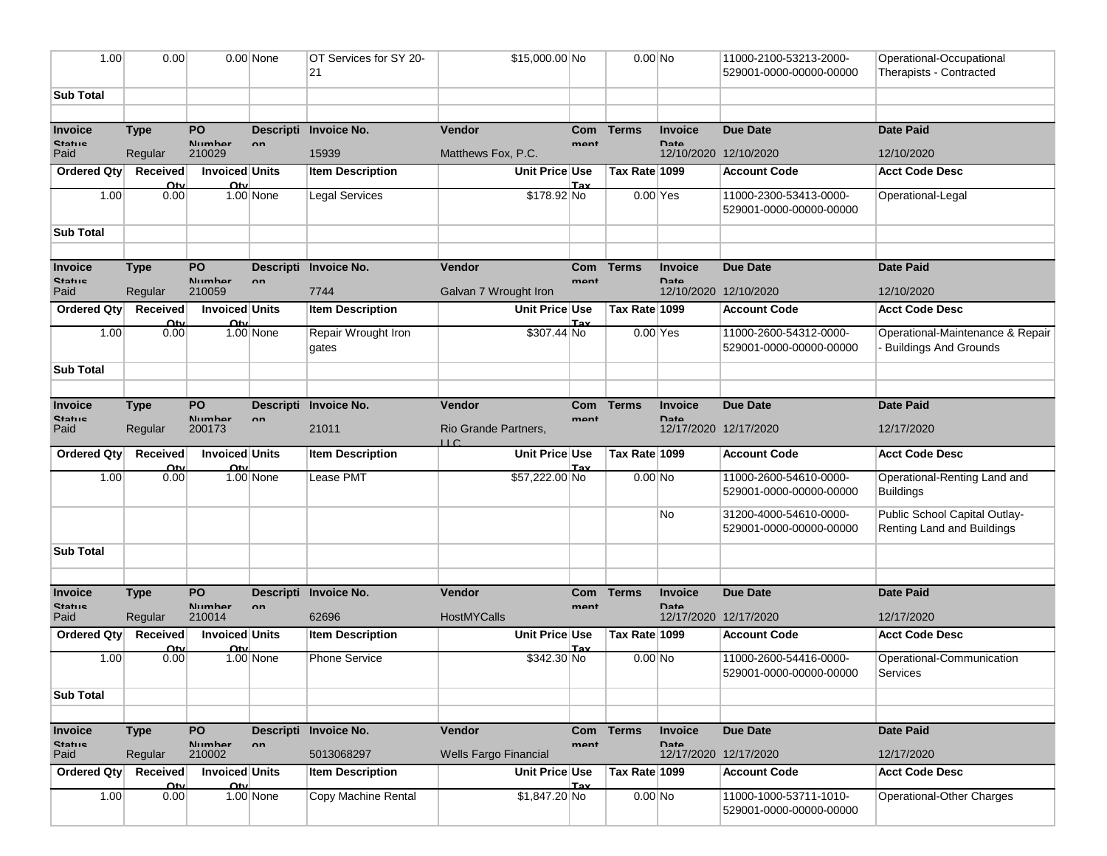| 1.00                     | 0.00                    |                                      | $0.00$ None | OT Services for SY 20-<br>21 | \$15,000.00 No                      |             | $0.00$ No     |                               | 11000-2100-53213-2000-<br>529001-0000-00000-00000 | Operational-Occupational<br>Therapists - Contracted         |
|--------------------------|-------------------------|--------------------------------------|-------------|------------------------------|-------------------------------------|-------------|---------------|-------------------------------|---------------------------------------------------|-------------------------------------------------------------|
|                          |                         |                                      |             |                              |                                     |             |               |                               |                                                   |                                                             |
| <b>Sub Total</b>         |                         |                                      |             |                              |                                     |             |               |                               |                                                   |                                                             |
| Invoice                  | <b>Type</b>             | PO                                   |             | Descripti Invoice No.        | <b>Vendor</b>                       | Com         | <b>Terms</b>  | <b>Invoice</b>                | <b>Due Date</b>                                   | <b>Date Paid</b>                                            |
| <b>Statue</b><br>Paid    | Regular                 | Numhar<br>210029                     | $\sim$      | 15939                        | Matthews Fox, P.C.                  | mant        |               | <b>Data</b>                   | 12/10/2020 12/10/2020                             | 12/10/2020                                                  |
| Ordered Qty              | Received                | <b>Invoiced Units</b>                |             | <b>Item Description</b>      | <b>Unit Price Use</b>               |             | Tax Rate 1099 |                               | <b>Account Code</b>                               | <b>Acct Code Desc</b>                                       |
|                          | Ωtv                     | Ωtι                                  |             |                              |                                     | Tav         |               |                               |                                                   |                                                             |
| 1.00                     | 0.00                    |                                      | $1.00$ None | <b>Legal Services</b>        | \$178.92 No                         |             | $0.00$ Yes    |                               | 11000-2300-53413-0000-<br>529001-0000-00000-00000 | Operational-Legal                                           |
| <b>Sub Total</b>         |                         |                                      |             |                              |                                     |             |               |                               |                                                   |                                                             |
|                          |                         |                                      |             |                              |                                     |             |               |                               |                                                   |                                                             |
| Invoice<br>Statue        | <b>Type</b>             | <b>PO</b><br>Numhar                  | nn.         | Descripti Invoice No.        | Vendor                              | Com<br>mant | <b>Terms</b>  | <b>Invoice</b><br><b>Data</b> | <b>Due Date</b>                                   | <b>Date Paid</b>                                            |
| Paid                     | Regular                 | 210059                               |             | 7744                         | Galvan 7 Wrought Iron               |             |               |                               | 12/10/2020 12/10/2020                             | 12/10/2020                                                  |
| Ordered Qty              | <b>Received</b>         | <b>Invoiced Units</b>                |             | <b>Item Description</b>      | Unit Price Use                      |             | Tax Rate 1099 |                               | <b>Account Code</b>                               | <b>Acct Code Desc</b>                                       |
| 1.00                     | Ωtv<br>0.00             | Ωtu                                  | 1.00 None   | Repair Wrought Iron          | \$307.44 No                         | Tav         | $0.00$ Yes    |                               | 11000-2600-54312-0000-                            | Operational-Maintenance & Repair                            |
|                          |                         |                                      |             | gates                        |                                     |             |               |                               | 529001-0000-00000-00000                           | <b>Buildings And Grounds</b>                                |
| <b>Sub Total</b>         |                         |                                      |             |                              |                                     |             |               |                               |                                                   |                                                             |
|                          |                         |                                      |             |                              |                                     |             |               |                               |                                                   |                                                             |
| Invoice                  | <b>Type</b>             | PO                                   |             | Descripti Invoice No.        | Vendor                              | Com         | <b>Terms</b>  | <b>Invoice</b>                | <b>Due Date</b>                                   | <b>Date Paid</b>                                            |
| <b>Statue</b><br>Paid    | Regular                 | Numhar<br>200173                     | $n_{n}$     | 21011                        | Rio Grande Partners,<br>$\sqcup$ C. | mant        |               | <b>Data</b>                   | 12/17/2020 12/17/2020                             | 12/17/2020                                                  |
| Ordered Qty              | <b>Received</b>         | <b>Invoiced Units</b>                |             | <b>Item Description</b>      | Unit Price Use                      |             | Tax Rate 1099 |                               | <b>Account Code</b>                               | <b>Acct Code Desc</b>                                       |
| 1.00                     | Ωtv<br>0.00             | $\Omega_{\rm{f}}$                    | $1.00$ None | Lease PMT                    | \$57,222.00 No                      | Tav         | $0.00$ No     |                               | 11000-2600-54610-0000-<br>529001-0000-00000-00000 | Operational-Renting Land and<br><b>Buildings</b>            |
|                          |                         |                                      |             |                              |                                     |             |               | No                            | 31200-4000-54610-0000-<br>529001-0000-00000-00000 | Public School Capital Outlay-<br>Renting Land and Buildings |
| <b>Sub Total</b>         |                         |                                      |             |                              |                                     |             |               |                               |                                                   |                                                             |
|                          |                         |                                      |             |                              |                                     |             |               |                               |                                                   |                                                             |
| Invoice<br><b>Statue</b> | <b>Type</b>             | PO.<br>Numhar                        |             | Descripti Invoice No.        | <b>Vendor</b>                       | Com         | <b>Terms</b>  | <b>Invoice</b><br>Date        | <b>Due Date</b>                                   | <b>Date Paid</b>                                            |
| Paid                     | Regular                 | 210014                               | $n_{n}$     | 62696                        | <b>HostMYCalls</b>                  | mant        |               |                               | 12/17/2020 12/17/2020                             | 12/17/2020                                                  |
| Ordered Qty              | Received                | <b>Invoiced Units</b>                |             | <b>Item Description</b>      | Unit Price Use                      |             | Tax Rate 1099 |                               | <b>Account Code</b>                               | <b>Acct Code Desc</b>                                       |
| 1.00                     | Ωtι<br>0.00             | Ωtı                                  | 1.00 None   | <b>Phone Service</b>         | \$342.30 No                         | Tax         | $0.00$ No     |                               | 11000-2600-54416-0000-                            | Operational-Communication                                   |
|                          |                         |                                      |             |                              |                                     |             |               |                               | 529001-0000-00000-00000                           | Services                                                    |
| <b>Sub Total</b>         |                         |                                      |             |                              |                                     |             |               |                               |                                                   |                                                             |
|                          |                         |                                      |             |                              |                                     |             |               |                               |                                                   |                                                             |
| Invoice                  | <b>Type</b>             | PO<br>Numhar                         |             | Descripti Invoice No.        | Vendor                              | <b>Com</b>  | <b>Terms</b>  | <b>Invoice</b>                | <b>Due Date</b>                                   | <b>Date Paid</b>                                            |
| <b>Statue</b><br>Paid    | Regular                 | 210002                               | $n_{n}$     | 5013068297                   | <b>Wells Fargo Financial</b>        | mont        |               | <b>Data</b>                   | 12/17/2020 12/17/2020                             | 12/17/2020                                                  |
| Ordered Qty              | Received<br>$\Omega$ tv | Invoiced Units<br>$\Omega_{\rm{tu}}$ |             | <b>Item Description</b>      | Unit Price Use                      | Tav         | Tax Rate 1099 |                               | <b>Account Code</b>                               | <b>Acct Code Desc</b>                                       |
| 1.00                     | 0.00                    |                                      | 1.00 None   | Copy Machine Rental          | \$1,847.20 No                       |             | $0.00$ No     |                               | 11000-1000-53711-1010-<br>529001-0000-00000-00000 | Operational-Other Charges                                   |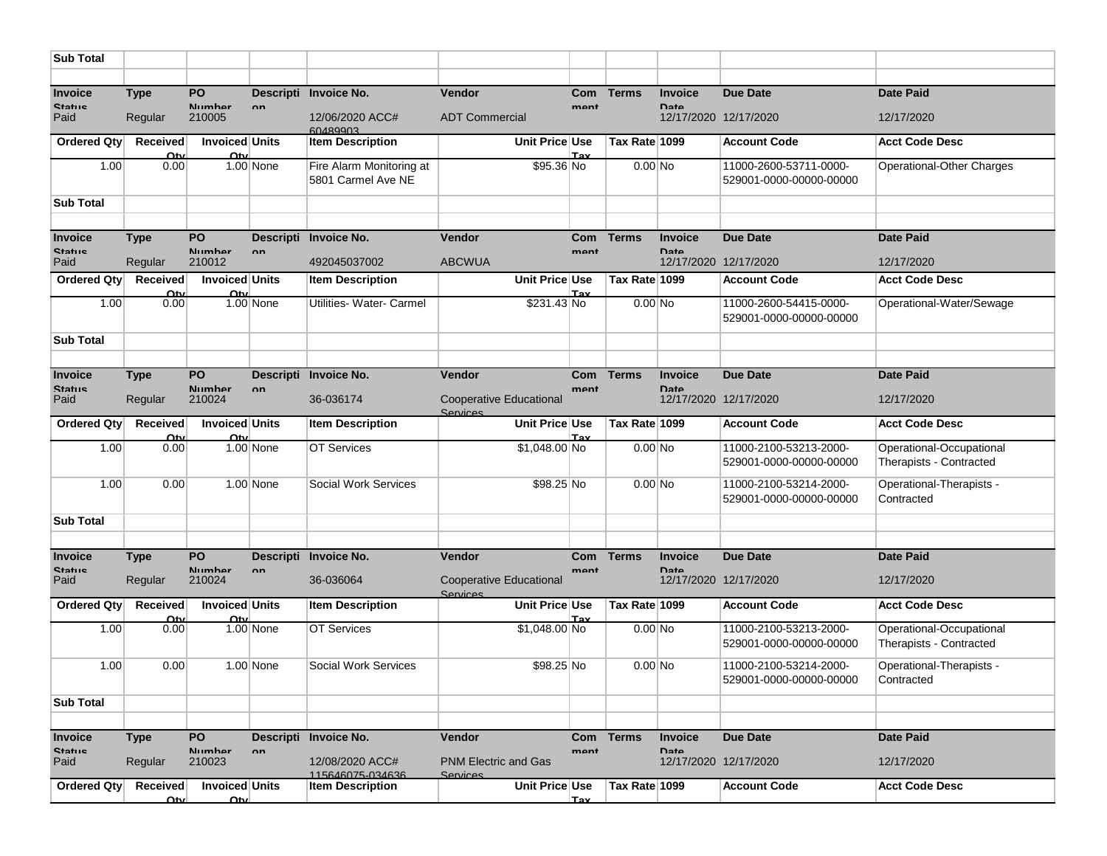| <b>Sub Total</b>      |                         |                                             |              |                                                |                                            |            |               |                |                                                   |                                                     |
|-----------------------|-------------------------|---------------------------------------------|--------------|------------------------------------------------|--------------------------------------------|------------|---------------|----------------|---------------------------------------------------|-----------------------------------------------------|
|                       |                         |                                             |              |                                                |                                            |            |               |                |                                                   |                                                     |
| Invoice               | <b>Type</b>             | PO                                          |              | Descripti Invoice No.                          | <b>Vendor</b>                              | <b>Com</b> | <b>Terms</b>  | <b>Invoice</b> | <b>Due Date</b>                                   | <b>Date Paid</b>                                    |
| <b>Statue</b><br>Paid | Regular                 | Numhar<br>210005                            | $n_{n}$      | 12/06/2020 ACC#<br><b>E0489903</b>             | <b>ADT Commercial</b>                      | mant       |               | <b>Data</b>    | 12/17/2020 12/17/2020                             | 12/17/2020                                          |
| <b>Ordered Qty</b>    | Received<br>Ωtu         | <b>Invoiced Units</b><br>Ωtι                |              | <b>Item Description</b>                        | Unit Price Use                             | Tav        | Tax Rate 1099 |                | <b>Account Code</b>                               | <b>Acct Code Desc</b>                               |
| 1.00                  | 0.00                    |                                             | 1.00 None    | Fire Alarm Monitoring at<br>5801 Carmel Ave NE | \$95.36 No                                 |            | $0.00$ No     |                | 11000-2600-53711-0000-<br>529001-0000-00000-00000 | Operational-Other Charges                           |
| <b>Sub Total</b>      |                         |                                             |              |                                                |                                            |            |               |                |                                                   |                                                     |
|                       |                         |                                             |              |                                                |                                            |            |               |                |                                                   |                                                     |
| Invoice               | <b>Type</b>             | PO                                          |              | Descripti Invoice No.                          | <b>Vendor</b>                              | Com        | <b>Terms</b>  | <b>Invoice</b> | <b>Due Date</b>                                   | <b>Date Paid</b>                                    |
| <b>Statue</b><br>Paid | Regular                 | Numhar<br>210012                            | nn.          | 492045037002                                   | <b>ABCWUA</b>                              | mant       |               | <b>Data</b>    | 12/17/2020 12/17/2020                             | 12/17/2020                                          |
| Ordered Qty           | <b>Received</b><br>Ωtv  | <b>Invoiced Units</b><br>Ωtu                |              | <b>Item Description</b>                        | Unit Price Use                             | Tav        | Tax Rate 1099 |                | <b>Account Code</b>                               | <b>Acct Code Desc</b>                               |
| 1.00                  | 0.00                    |                                             | 1.00 None    | Utilities- Water- Carmel                       | \$231.43 No                                |            | $0.00$ No     |                | 11000-2600-54415-0000-<br>529001-0000-00000-00000 | Operational-Water/Sewage                            |
| <b>Sub Total</b>      |                         |                                             |              |                                                |                                            |            |               |                |                                                   |                                                     |
|                       |                         |                                             |              |                                                |                                            |            |               |                |                                                   |                                                     |
| Invoice               | <b>Type</b>             | PO                                          |              | Descripti Invoice No.                          | <b>Vendor</b>                              | <b>Com</b> | <b>Terms</b>  | <b>Invoice</b> | Due Date                                          | <b>Date Paid</b>                                    |
| <b>Statue</b><br>Paid | Regular                 | Numhar<br>210024                            | nn           | 36-036174                                      | <b>Cooperative Educational</b><br>Services | mant       |               | <b>Data</b>    | 12/17/2020 12/17/2020                             | 12/17/2020                                          |
| <b>Ordered Qty</b>    | Received<br>Ωtv         | <b>Invoiced Units</b><br>Ω'n                |              | <b>Item Description</b>                        | Unit Price Use                             | Tav        | Tax Rate 1099 |                | <b>Account Code</b>                               | <b>Acct Code Desc</b>                               |
| 1.00                  | 0.00                    |                                             | 1.00 None    | <b>OT Services</b>                             | $$1,048.00$ No                             |            | $0.00$ No     |                | 11000-2100-53213-2000-<br>529001-0000-00000-00000 | Operational-Occupational<br>Therapists - Contracted |
| 1.00                  | 0.00                    |                                             | $1.00$ None  | Social Work Services                           | \$98.25 No                                 |            | $0.00$ No     |                | 11000-2100-53214-2000-<br>529001-0000-00000-00000 | Operational-Therapists -<br>Contracted              |
| <b>Sub Total</b>      |                         |                                             |              |                                                |                                            |            |               |                |                                                   |                                                     |
|                       |                         |                                             |              |                                                |                                            |            |               |                |                                                   |                                                     |
| Invoice               | <b>Type</b>             | PO                                          |              | Descripti Invoice No.                          | Vendor                                     | Com        | <b>Terms</b>  | <b>Invoice</b> | <b>Due Date</b>                                   | <b>Date Paid</b>                                    |
| <b>Statue</b><br>Paid | Regular                 | Numhar<br>210024                            | nn           | 36-036064                                      | <b>Cooperative Educational</b><br>Services | mant       |               | <b>Data</b>    | 12/17/2020 12/17/2020                             | 12/17/2020                                          |
| <b>Ordered Qty</b>    | <b>Received</b><br>Ωtv  | <b>Invoiced Units</b><br>$\Omega_{\rm{tu}}$ |              | <b>Item Description</b>                        | Unit Price Use                             | Tax        | Tax Rate 1099 |                | <b>Account Code</b>                               | <b>Acct Code Desc</b>                               |
| 1.00                  | 0.00                    |                                             | 1.00 None    | <b>OT Services</b>                             | $$1,048.00$ No                             |            | $0.00$ No     |                | 11000-2100-53213-2000-<br>529001-0000-00000-00000 | Operational-Occupational<br>Therapists - Contracted |
| 1.00                  | 0.00                    |                                             | $1.00$ None  | <b>Social Work Services</b>                    | \$98.25 No                                 |            | $0.00$ No     |                | 11000-2100-53214-2000-<br>529001-0000-00000-00000 | Operational-Therapists -<br>Contracted              |
| <b>Sub Total</b>      |                         |                                             |              |                                                |                                            |            |               |                |                                                   |                                                     |
|                       |                         |                                             |              |                                                |                                            |            |               |                |                                                   |                                                     |
| Invoice               | <b>Type</b>             | <b>PO</b>                                   |              | Descripti Invoice No.                          | <b>Vendor</b>                              | Com        | <b>Terms</b>  | <b>Invoice</b> | Due Date                                          | <b>Date Paid</b>                                    |
| <b>Statue</b><br>Paid | Regular                 | Numhar<br>210023                            | $\mathbf{a}$ | 12/08/2020 ACC#<br>115646075-034636            | <b>PNM Electric and Gas</b><br>Services    | mant       |               | <b>Data</b>    | 12/17/2020 12/17/2020                             | 12/17/2020                                          |
| Ordered Qty           | <b>Received</b><br>Ωtvl | Invoiced Units<br>Ωtvl                      |              | <b>Item Description</b>                        | Unit Price Use                             | <b>Tax</b> | Tax Rate 1099 |                | <b>Account Code</b>                               | <b>Acct Code Desc</b>                               |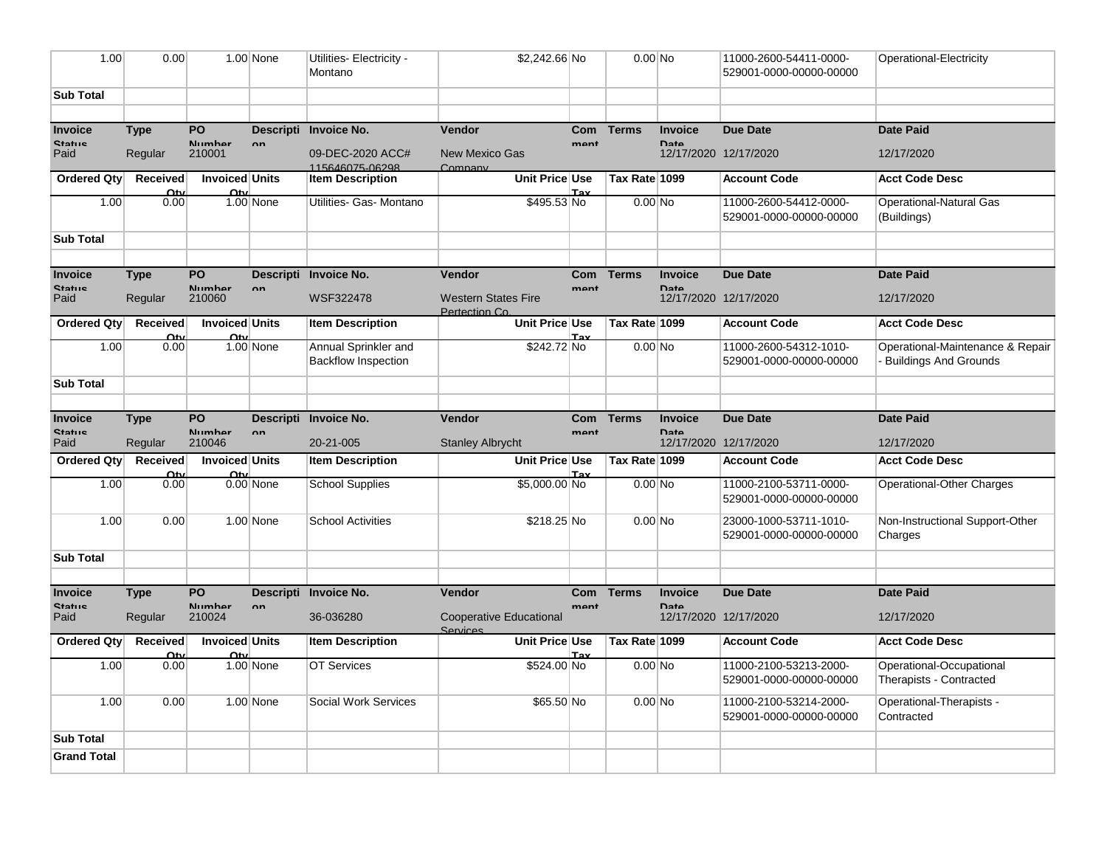| 1.00                             | 0.00                           |                               | 1.00 None     | Utilities- Electricity -<br>Montano                | \$2,242.66 No                               |                            | $0.00$ No     |                               | 11000-2600-54411-0000-<br>529001-0000-00000-00000 | Operational-Electricity                                          |
|----------------------------------|--------------------------------|-------------------------------|---------------|----------------------------------------------------|---------------------------------------------|----------------------------|---------------|-------------------------------|---------------------------------------------------|------------------------------------------------------------------|
| <b>Sub Total</b>                 |                                |                               |               |                                                    |                                             |                            |               |                               |                                                   |                                                                  |
|                                  |                                |                               |               |                                                    |                                             |                            |               |                               |                                                   |                                                                  |
| Invoice                          | <b>Type</b>                    | PO                            |               | Descripti Invoice No.                              | Vendor                                      | Com                        | <b>Terms</b>  | <b>Invoice</b>                | <b>Due Date</b>                                   | <b>Date Paid</b>                                                 |
| <b>Ctatue</b><br>Paid            | Regular                        | Numhar<br>210001              | $\mathbf{a}$  | 09-DEC-2020 ACC#<br>115646075-06298                | <b>New Mexico Gas</b><br>Company            | man <sub>t</sub>           |               | <b>Data</b>                   | 12/17/2020 12/17/2020                             | 12/17/2020                                                       |
| Ordered Qty                      | <b>Received</b><br>$\Omega$ ty | <b>Invoiced Units</b><br>Oti  |               | <b>Item Description</b>                            | Unit Price Use                              | Tay                        | Tax Rate 1099 |                               | <b>Account Code</b>                               | <b>Acct Code Desc</b>                                            |
| 1.00                             | 0.00                           |                               | $1.00$ None   | Utilities- Gas- Montano                            | \$495.53 No                                 |                            | $0.00$ No     |                               | 11000-2600-54412-0000-<br>529001-0000-00000-00000 | Operational-Natural Gas<br>(Buildings)                           |
| <b>Sub Total</b>                 |                                |                               |               |                                                    |                                             |                            |               |                               |                                                   |                                                                  |
|                                  |                                |                               |               |                                                    |                                             |                            |               |                               |                                                   |                                                                  |
| Invoice<br><b>Statue</b>         | <b>Type</b>                    | PO<br>Numhar                  | $\mathsf{nn}$ | Descripti Invoice No.                              | <b>Vendor</b>                               | <b>Com</b><br>mant         | <b>Terms</b>  | <b>Invoice</b><br><b>Data</b> | <b>Due Date</b>                                   | <b>Date Paid</b>                                                 |
| Paid                             | Regular                        | 210060                        |               | <b>WSF322478</b>                                   | <b>Western States Fire</b><br>Pertection Co |                            |               |                               | 12/17/2020 12/17/2020                             | 12/17/2020                                                       |
| Ordered Qty                      | <b>Received</b><br>Ωtv         | <b>Invoiced Units</b><br>Otv  |               | <b>Item Description</b>                            | Unit Price Use                              | Tav                        | Tax Rate 1099 |                               | <b>Account Code</b>                               | <b>Acct Code Desc</b>                                            |
| 1.00                             | 0.00                           |                               | $1.00$ None   | Annual Sprinkler and<br><b>Backflow Inspection</b> | \$242.72 No                                 |                            | $0.00$ No     |                               | 11000-2600-54312-1010-<br>529001-0000-00000-00000 | Operational-Maintenance & Repair<br><b>Buildings And Grounds</b> |
| <b>Sub Total</b>                 |                                |                               |               |                                                    |                                             |                            |               |                               |                                                   |                                                                  |
|                                  |                                |                               |               |                                                    |                                             |                            |               |                               |                                                   |                                                                  |
|                                  |                                |                               |               |                                                    |                                             |                            |               |                               |                                                   |                                                                  |
| Invoice<br><b>Statue</b><br>Paid | <b>Type</b><br>Regular         | <b>PO</b><br>Numhar<br>210046 | $\mathbf{a}$  | Descripti Invoice No.<br>20-21-005                 | <b>Vendor</b><br><b>Stanley Albrycht</b>    | <b>Com</b><br>$\n  mant\n$ | <b>Terms</b>  | <b>Invoice</b><br>Date        | <b>Due Date</b><br>12/17/2020 12/17/2020          | <b>Date Paid</b><br>12/17/2020                                   |
| Ordered Qty                      | <b>Received</b>                | <b>Invoiced Units</b>         |               | <b>Item Description</b>                            | Unit Price Use                              |                            | Tax Rate 1099 |                               | <b>Account Code</b>                               | <b>Acct Code Desc</b>                                            |
| 1.00                             | Ωtv<br>0.00                    | Ωtν                           | $0.00$ None   | <b>School Supplies</b>                             | \$5,000.00 No                               | Tav                        | $0.00$ No     |                               | 11000-2100-53711-0000-<br>529001-0000-00000-00000 | Operational-Other Charges                                        |
| 1.00                             | 0.00                           |                               | $1.00$ None   | <b>School Activities</b>                           | \$218.25 No                                 |                            | $0.00$ No     |                               | 23000-1000-53711-1010-<br>529001-0000-00000-00000 | Non-Instructional Support-Other<br>Charges                       |
| <b>Sub Total</b>                 |                                |                               |               |                                                    |                                             |                            |               |                               |                                                   |                                                                  |
|                                  |                                |                               |               |                                                    |                                             |                            |               |                               |                                                   |                                                                  |
| Invoice<br>Statue                | <b>Type</b>                    | <b>PO</b>                     | $\mathbf{a}$  | Descripti Invoice No.                              | <b>Vendor</b>                               | Com<br>mant                | <b>Terms</b>  | <b>Invoice</b><br>Date        | <b>Due Date</b>                                   | <b>Date Paid</b>                                                 |
| Paid                             | Regular                        | Numhar<br>210024              |               | 36-036280                                          | <b>Cooperative Educational</b>              |                            |               |                               | 12/17/2020 12/17/2020                             | 12/17/2020                                                       |
| Ordered Qty                      | <b>Received</b>                | <b>Invoiced Units</b>         |               | <b>Item Description</b>                            | Services<br>Unit Price Use                  |                            | Tax Rate 1099 |                               | <b>Account Code</b>                               | <b>Acct Code Desc</b>                                            |
| 1.00                             | Ωtv<br>0.00                    | Ωtν                           | $1.00$ None   | OT Services                                        | \$524.00 No                                 | Tax                        | $0.00$ No     |                               | 11000-2100-53213-2000-<br>529001-0000-00000-00000 | Operational-Occupational<br>Therapists - Contracted              |
| 1.00                             | 0.00                           |                               | $1.00$ None   | <b>Social Work Services</b>                        | \$65.50 No                                  |                            | $0.00$ No     |                               | 11000-2100-53214-2000-<br>529001-0000-00000-00000 | Operational-Therapists -<br>Contracted                           |
| <b>Sub Total</b>                 |                                |                               |               |                                                    |                                             |                            |               |                               |                                                   |                                                                  |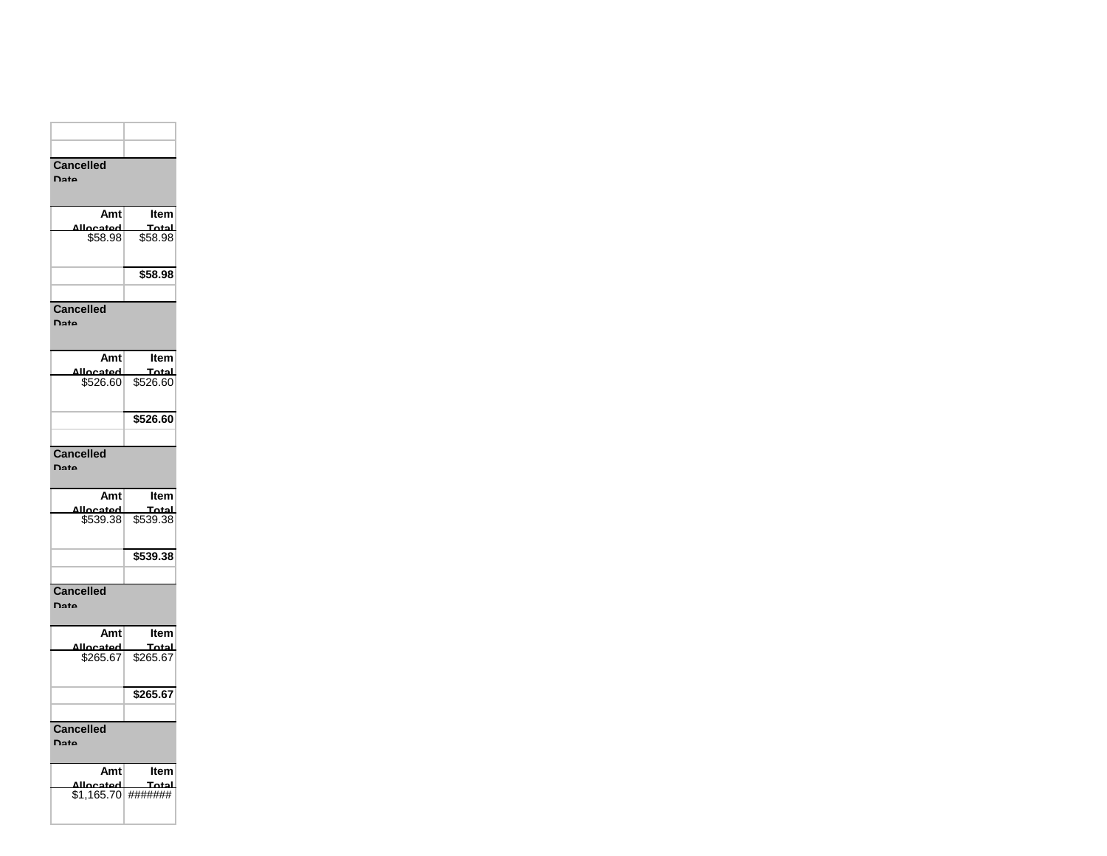| <b>Cancelled</b><br>Date    |                                                       |
|-----------------------------|-------------------------------------------------------|
| Amt                         | Item<br><u> Total</u>                                 |
| <u>Allocated</u><br>\$58.98 | \$58.98                                               |
|                             | \$58.98                                               |
|                             |                                                       |
| <b>Cancelled</b><br>Date    |                                                       |
| Amt                         | Item                                                  |
| Allocated<br>\$526.60       | 10tal<br>\$526.60                                     |
|                             | \$526.60                                              |
| <b>Cancelled</b><br>Date    |                                                       |
| Amt                         | Item                                                  |
|                             | Total<br>ل <b>مبمتر المبردمي</b><br>\$539.38 \$539.38 |
|                             |                                                       |
|                             | \$539.38                                              |
|                             |                                                       |
| <b>Cancelled</b><br>Date    |                                                       |
| Amt                         | Item                                                  |
| hateacllA<br>\$265.67       | Total<br>\$265.67                                     |
|                             |                                                       |
|                             | \$265.67                                              |
| Cancelled                   |                                                       |

| Amtl               | Item  |
|--------------------|-------|
| Allocated          | Total |
| \$1.165.70 ####### |       |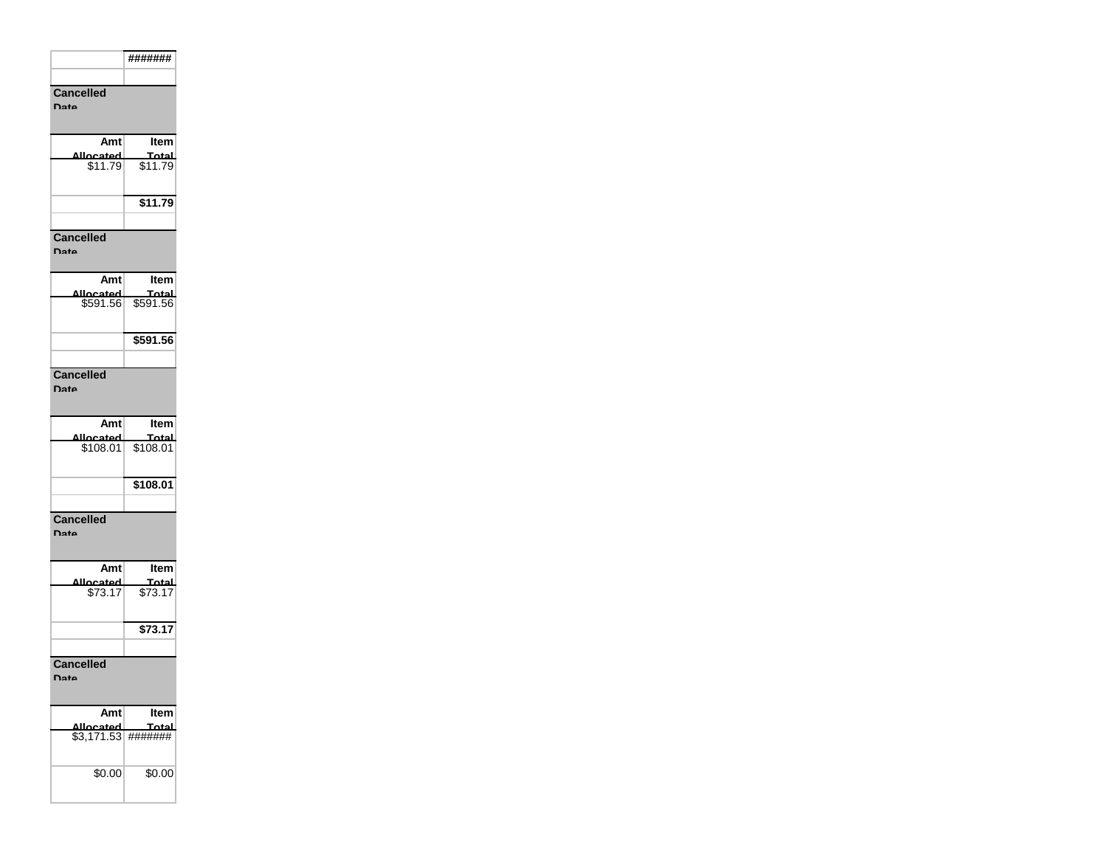|                                 | #######           |
|---------------------------------|-------------------|
|                                 |                   |
| Cancelled<br>nata               |                   |
| Amt                             | ltem              |
| <mark>لەمەدەملل</mark><br>11.79 | Total<br>\$11.79  |
|                                 | $\sqrt{$11.79}$   |
| <b>Cancelled</b><br>ate         |                   |
| Amt                             | ltem              |
| llocated<br>\$591.56            | Total<br>\$591.56 |
|                                 | \$591.56          |
| <b>Cancelled</b><br><b>Date</b> |                   |
|                                 |                   |
| Amt                             | ltem              |
| للمحمصلا<br>\$108.01            | Total<br>\$108.01 |
|                                 | \$108.01          |
|                                 |                   |
| <b>Cancelled</b><br>Date        |                   |
| Amt                             | Item              |
| heated<br>$\sqrt{3.17}$         | Total<br>\$73.17  |
|                                 | \$73.17           |
| <b>Cancelled</b><br>Nato        |                   |
| Amt                             | ltem              |
| located<br>\$3,171.53           | 「∩t∙<br>#######   |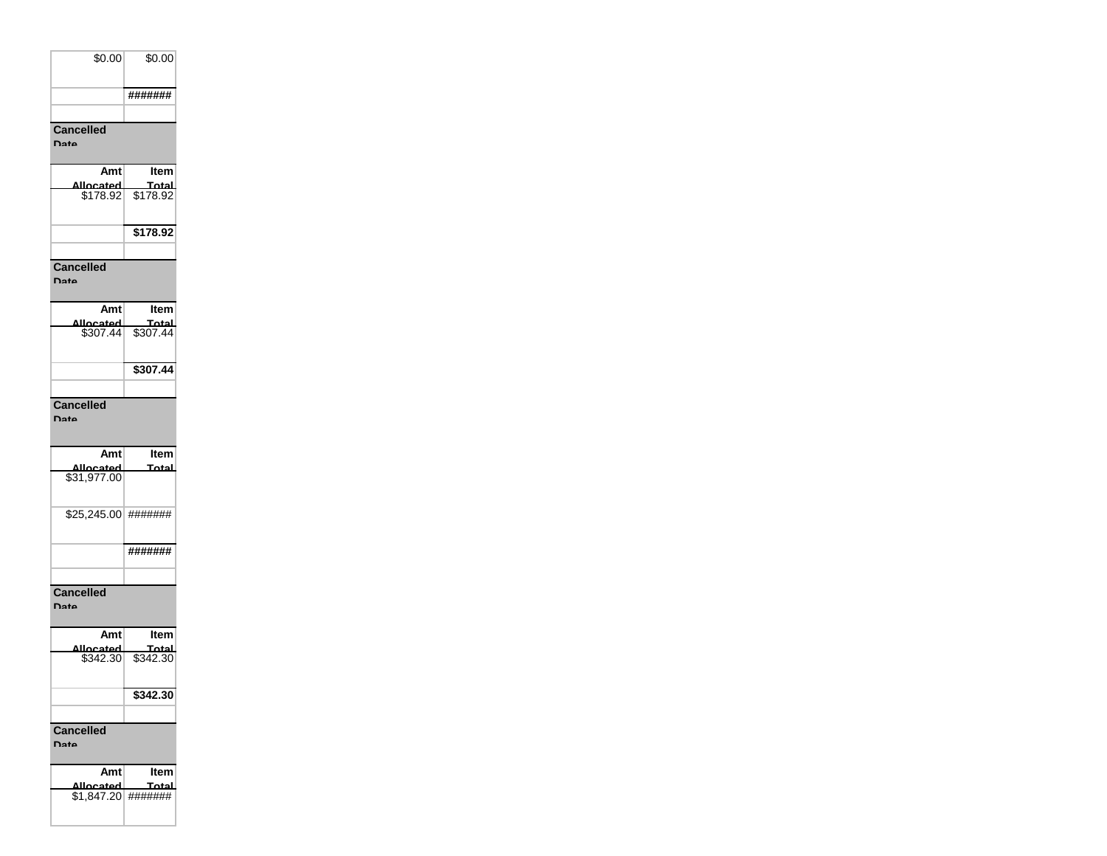| \$0.00           | \$0.00  |
|------------------|---------|
|                  |         |
|                  | ####### |
|                  |         |
| <b>Cancelled</b> |         |
| D <sub>2</sub>   |         |

| Amt                       | Item     |
|---------------------------|----------|
| hatsaalla                 | Total    |
| \$178.92                  | \$178.92 |
|                           | \$178.92 |
|                           |          |
| <b>Cancelled</b>          |          |
| $\mathbf{D}_{\mathbf{a}}$ |          |

| Amt              | ltem     |
|------------------|----------|
| hatenoll∆        | للعثم    |
| \$307.44         | \$307.44 |
|                  | \$307.44 |
|                  |          |
| <b>Cancelled</b> |          |

**Date**

| Amt              | <b>Item</b> |
|------------------|-------------|
| hateanllA        | Total       |
| \$31,977.00      |             |
| \$25,245.00      | #######     |
|                  | #######     |
|                  |             |
| <b>Cancelled</b> |             |
| Nato             |             |
|                  |             |
| Amt              | Item        |
| اعمtجممللة       | Total       |
| \$342.30         | \$342.30    |

|                  | \$342.30 |
|------------------|----------|
|                  |          |
| <b>Cancelled</b> |          |
| Date             |          |
|                  |          |
|                  |          |

| Amt                | ltem  |
|--------------------|-------|
| <b>Ihatenoll</b>   | Total |
| \$1.847.20 ####### |       |
|                    |       |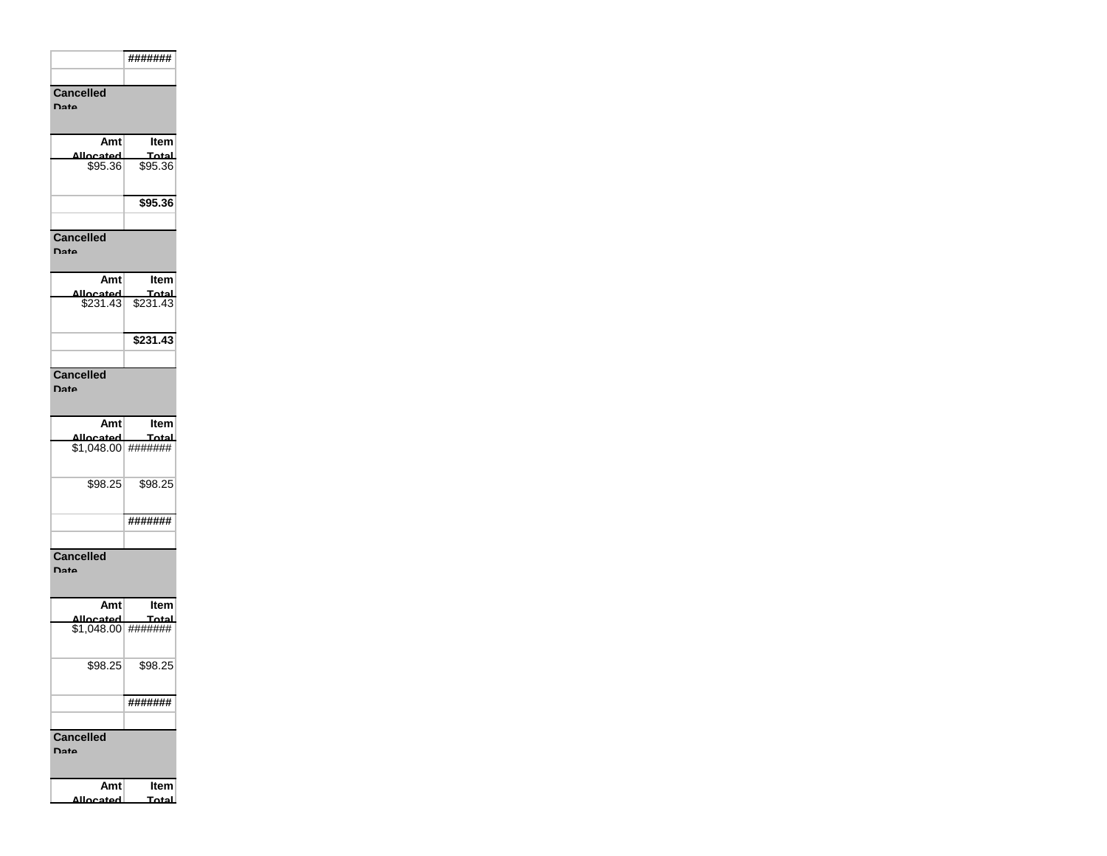|                                  | #######          |
|----------------------------------|------------------|
|                                  |                  |
| <b>Cancelled</b><br><b>Date</b>  |                  |
| Amt                              | Item             |
| اعمtعممللا<br>\$95.36            | Total<br>\$95.36 |
|                                  | \$95.36          |
|                                  |                  |
| <b>Cancelled</b><br><b>Data</b>  |                  |
| Amtl                             | Item             |
| نعملله                           |                  |
|                                  | \$231.43         |
|                                  |                  |
| <b>Cancelled</b><br>Date         |                  |
| Amtl                             | ltem             |
| لممعدعملا<br>$$1,048.00$ ####### | Total            |
| \$98.25                          | \$98.25          |
|                                  | #######          |
|                                  |                  |
| <b>Cancelled</b><br><b>Data</b>  |                  |
| Amt<br>Allocated                 | ltem<br>Total    |
| $$1,048.00$ #######              |                  |
| \$98.25                          | \$98.25          |
|                                  | #######          |
|                                  |                  |
| <b>Cancelled</b><br><b>Data</b>  |                  |
| Amt                              | ltem             |
| لمعتدعمالة                       | Total            |